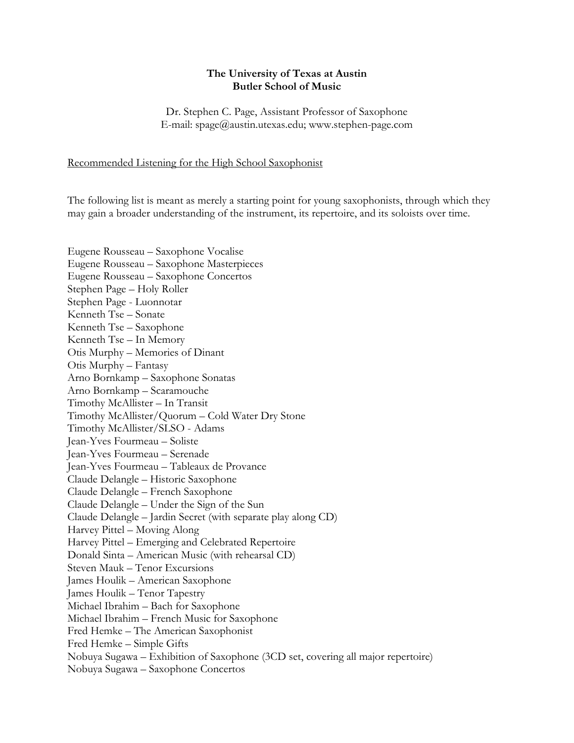## **The University of Texas at Austin Butler School of Music**

Dr. Stephen C. Page, Assistant Professor of Saxophone E-mail: spage@austin.utexas.edu; www.stephen-page.com

Recommended Listening for the High School Saxophonist

The following list is meant as merely a starting point for young saxophonists, through which they may gain a broader understanding of the instrument, its repertoire, and its soloists over time.

Eugene Rousseau – Saxophone Vocalise Eugene Rousseau – Saxophone Masterpieces Eugene Rousseau – Saxophone Concertos Stephen Page – Holy Roller Stephen Page - Luonnotar Kenneth Tse – Sonate Kenneth Tse – Saxophone Kenneth Tse – In Memory Otis Murphy – Memories of Dinant Otis Murphy – Fantasy Arno Bornkamp – Saxophone Sonatas Arno Bornkamp – Scaramouche Timothy McAllister – In Transit Timothy McAllister/Quorum – Cold Water Dry Stone Timothy McAllister/SLSO - Adams Jean-Yves Fourmeau – Soliste Jean-Yves Fourmeau – Serenade Jean-Yves Fourmeau – Tableaux de Provance Claude Delangle – Historic Saxophone Claude Delangle – French Saxophone Claude Delangle – Under the Sign of the Sun Claude Delangle – Jardin Secret (with separate play along CD) Harvey Pittel – Moving Along Harvey Pittel – Emerging and Celebrated Repertoire Donald Sinta – American Music (with rehearsal CD) Steven Mauk – Tenor Excursions James Houlik – American Saxophone James Houlik – Tenor Tapestry Michael Ibrahim – Bach for Saxophone Michael Ibrahim – French Music for Saxophone Fred Hemke – The American Saxophonist Fred Hemke – Simple Gifts Nobuya Sugawa – Exhibition of Saxophone (3CD set, covering all major repertoire) Nobuya Sugawa – Saxophone Concertos